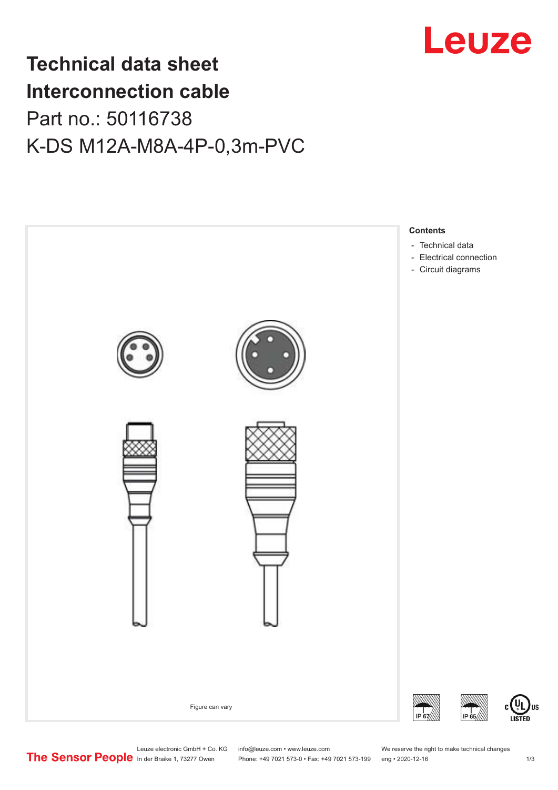

## **Technical data sheet Interconnection cable** Part no.: 50116738 K-DS M12A-M8A-4P-0,3m-PVC



Leuze electronic GmbH + Co. KG info@leuze.com • www.leuze.com We reserve the right to make technical changes<br>
The Sensor People in der Braike 1, 73277 Owen Phone: +49 7021 573-0 • Fax: +49 7021 573-199 eng • 2020-12-16

Phone: +49 7021 573-0 • Fax: +49 7021 573-199 eng • 2020-12-16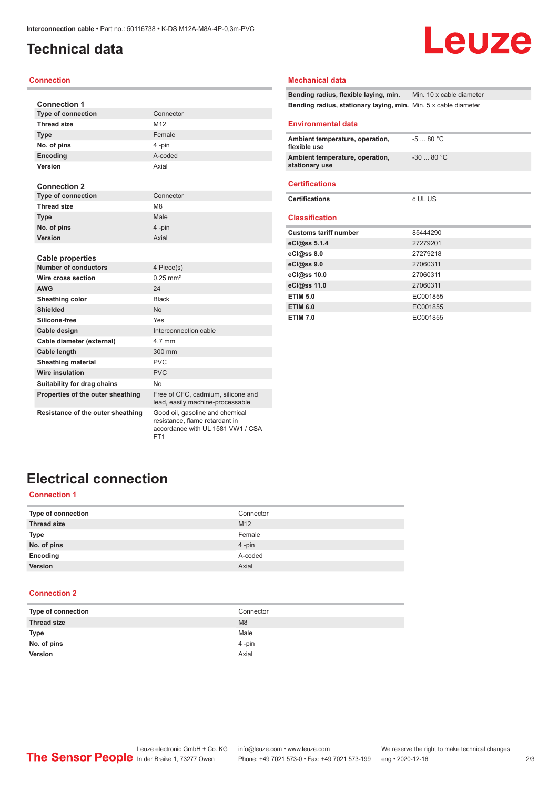## <span id="page-1-0"></span>**Technical data**

## Leuze

#### **Connection**

| <b>Connection 1</b>               |                                                                        |
|-----------------------------------|------------------------------------------------------------------------|
| <b>Type of connection</b>         | Connector                                                              |
| <b>Thread size</b>                | M <sub>12</sub>                                                        |
| <b>Type</b>                       | Female                                                                 |
| No. of pins                       | 4-pin                                                                  |
| Encoding                          | A-coded                                                                |
| Version                           | Axial                                                                  |
|                                   |                                                                        |
| <b>Connection 2</b>               |                                                                        |
| Type of connection                | Connector                                                              |
| <b>Thread size</b>                | M <sub>8</sub>                                                         |
| <b>Type</b>                       | Male                                                                   |
| No. of pins                       | 4-pin                                                                  |
| Version                           | Axial                                                                  |
|                                   |                                                                        |
| <b>Cable properties</b>           |                                                                        |
| <b>Number of conductors</b>       | 4 Piece(s)                                                             |
| Wire cross section                | $0.25$ mm <sup>2</sup>                                                 |
| <b>AWG</b>                        | 24                                                                     |
| Sheathing color                   | <b>Black</b>                                                           |
| Shielded                          | <b>No</b>                                                              |
| Silicone-free                     | Yes                                                                    |
| Cable design                      | Interconnection cable                                                  |
| Cable diameter (external)         | 4.7 mm                                                                 |
| Cable length                      | 300 mm                                                                 |
| <b>Sheathing material</b>         | <b>PVC</b>                                                             |
| <b>Wire insulation</b>            | <b>PVC</b>                                                             |
| Suitability for drag chains       | <b>No</b>                                                              |
| Properties of the outer sheathing | Free of CFC, cadmium, silicone and<br>lead, easily machine-processable |

**Resistance of the outer sheathing** Good oil, gasoline and chemical

resistance, flame retardant in accordance with UL 1581 VW1 / CSA FT1

### **Mechanical data**

**Bending radius, flexible laying, min.** Min. 10 x cable diameter **Bending radius, stationary laying, min.** Min. 5 x cable diameter

#### **Environmental data**

| Ambient temperature, operation,<br>flexible use   | $-580 °C$   |
|---------------------------------------------------|-------------|
| Ambient temperature, operation,<br>stationary use | $-30$ 80 °C |
| <b>Certifications</b>                             |             |
| <b>Certifications</b>                             | c UL US     |
| <b>Classification</b>                             |             |
| <b>Customs tariff number</b>                      | 85444290    |
| eCl@ss $5.1.4$                                    | 27279201    |
| eCl@ss 8.0                                        | 27279218    |
| eCl@ss 9.0                                        | 27060311    |
| eCl@ss 10.0                                       | 27060311    |
| eCl@ss 11.0                                       | 27060311    |
| <b>ETIM 5.0</b>                                   | EC001855    |
| <b>ETIM 6.0</b>                                   | EC001855    |
| <b>ETIM 7.0</b>                                   | EC001855    |

## **Electrical connection**

### **Connection 1**

| Type of connection | Connector       |
|--------------------|-----------------|
| <b>Thread size</b> | M <sub>12</sub> |
| <b>Type</b>        | Female          |
| No. of pins        | 4-pin           |
| Encoding           | A-coded         |
| Version            | Axial           |

#### **Connection 2**

| Type of connection | Connector |
|--------------------|-----------|
| <b>Thread size</b> | M8        |
| Type               | Male      |
| No. of pins        | $4$ -pin  |
| Version            | Axial     |